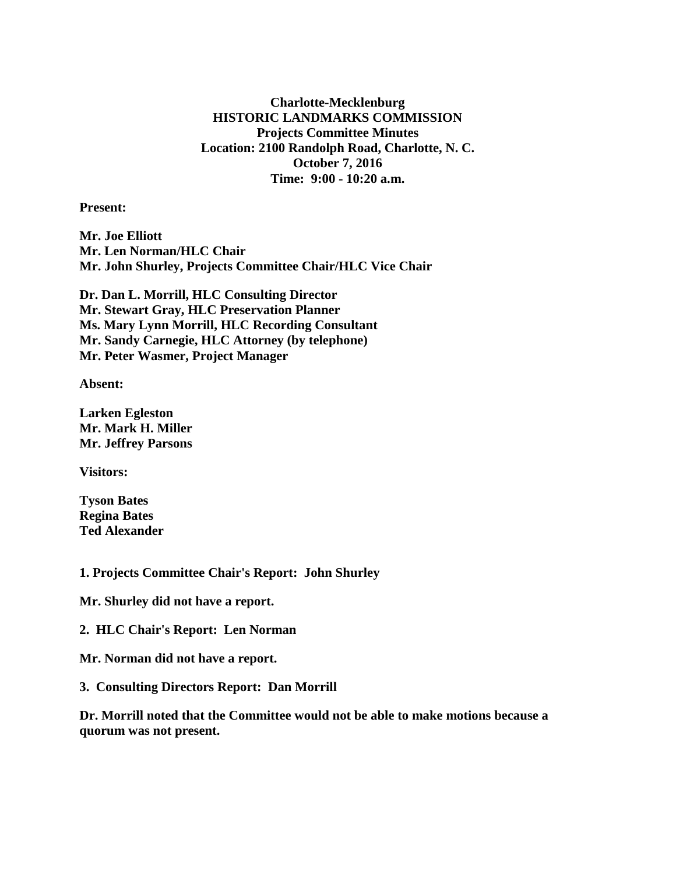**Charlotte-Mecklenburg HISTORIC LANDMARKS COMMISSION Projects Committee Minutes Location: 2100 Randolph Road, Charlotte, N. C. October 7, 2016 Time: 9:00 - 10:20 a.m.**

**Present:**

**Mr. Joe Elliott Mr. Len Norman/HLC Chair Mr. John Shurley, Projects Committee Chair/HLC Vice Chair**

**Dr. Dan L. Morrill, HLC Consulting Director Mr. Stewart Gray, HLC Preservation Planner Ms. Mary Lynn Morrill, HLC Recording Consultant Mr. Sandy Carnegie, HLC Attorney (by telephone) Mr. Peter Wasmer, Project Manager**

**Absent:**

**Larken Egleston Mr. Mark H. Miller Mr. Jeffrey Parsons**

**Visitors:**

**Tyson Bates Regina Bates Ted Alexander**

**1. Projects Committee Chair's Report: John Shurley**

**Mr. Shurley did not have a report.**

**2. HLC Chair's Report: Len Norman**

**Mr. Norman did not have a report.**

**3. Consulting Directors Report: Dan Morrill**

**Dr. Morrill noted that the Committee would not be able to make motions because a quorum was not present.**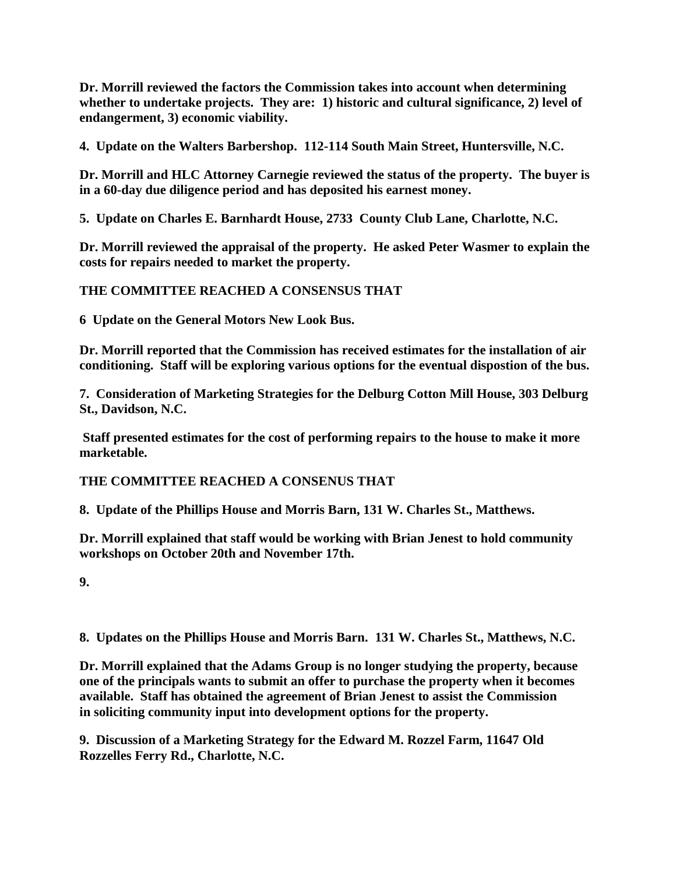**Dr. Morrill reviewed the factors the Commission takes into account when determining whether to undertake projects. They are: 1) historic and cultural significance, 2) level of endangerment, 3) economic viability.**

**4. Update on the Walters Barbershop. 112-114 South Main Street, Huntersville, N.C.**

**Dr. Morrill and HLC Attorney Carnegie reviewed the status of the property. The buyer is in a 60-day due diligence period and has deposited his earnest money.**

**5. Update on Charles E. Barnhardt House, 2733 County Club Lane, Charlotte, N.C.**

**Dr. Morrill reviewed the appraisal of the property. He asked Peter Wasmer to explain the costs for repairs needed to market the property.** 

**THE COMMITTEE REACHED A CONSENSUS THAT** 

**6 Update on the General Motors New Look Bus.**

**Dr. Morrill reported that the Commission has received estimates for the installation of air conditioning. Staff will be exploring various options for the eventual dispostion of the bus.**

**7. Consideration of Marketing Strategies for the Delburg Cotton Mill House, 303 Delburg St., Davidson, N.C.**

**Staff presented estimates for the cost of performing repairs to the house to make it more marketable.** 

**THE COMMITTEE REACHED A CONSENUS THAT**

**8. Update of the Phillips House and Morris Barn, 131 W. Charles St., Matthews.**

**Dr. Morrill explained that staff would be working with Brian Jenest to hold community workshops on October 20th and November 17th.**

**9.** 

**8. Updates on the Phillips House and Morris Barn. 131 W. Charles St., Matthews, N.C.**

**Dr. Morrill explained that the Adams Group is no longer studying the property, because one of the principals wants to submit an offer to purchase the property when it becomes available. Staff has obtained the agreement of Brian Jenest to assist the Commission in soliciting community input into development options for the property.**

**9. Discussion of a Marketing Strategy for the Edward M. Rozzel Farm, 11647 Old Rozzelles Ferry Rd., Charlotte, N.C.**